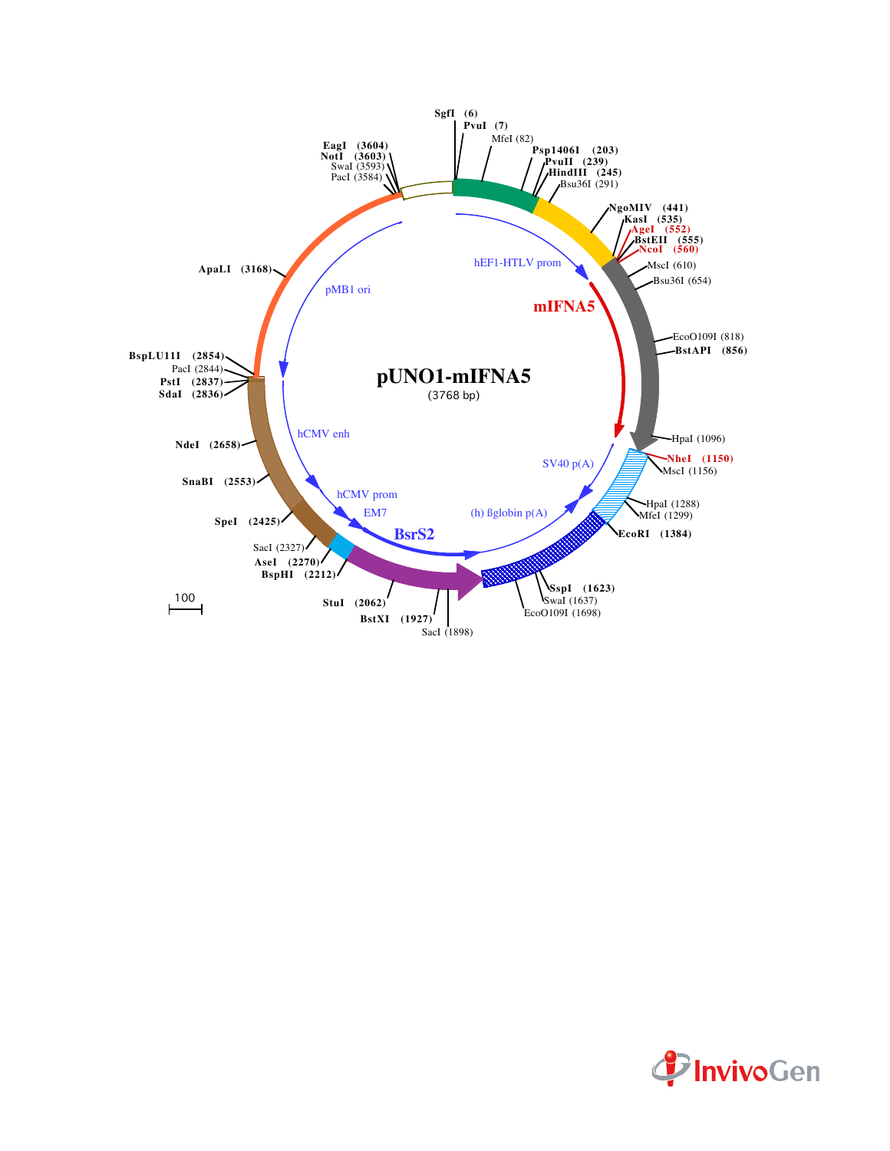

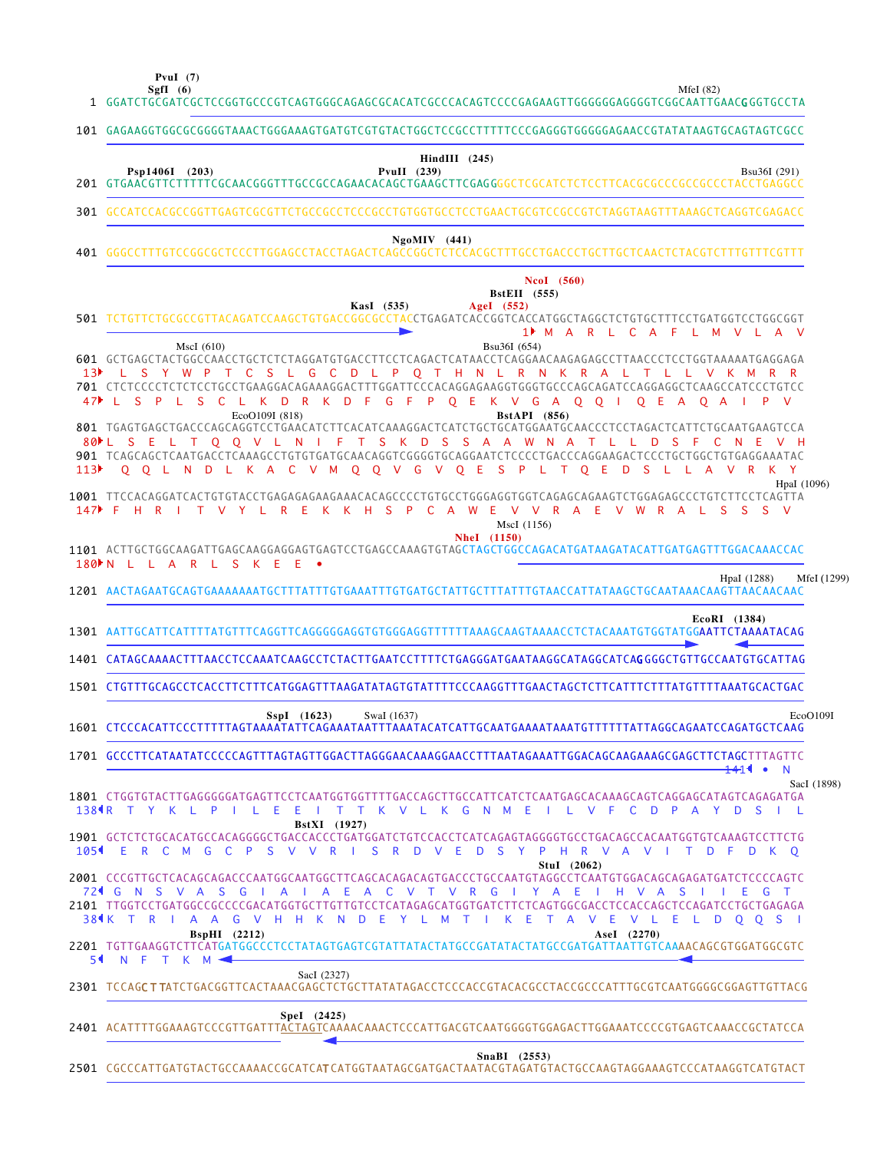**SgfI (6) PvuI (7)**

MfeI (82)

| 1                | GGATCTGCGATCGCTCCGGTGCCCGTCAGTGGGCAGAGCGCACATCGCCCACAGTCCCCGAGAAGTTGGGGGGAGGGTCGGCAATTGAAC <b>G</b> GGTGCCTA                                                                                                                                                                                                                                                                                                                                                                                                                                                                               |
|------------------|--------------------------------------------------------------------------------------------------------------------------------------------------------------------------------------------------------------------------------------------------------------------------------------------------------------------------------------------------------------------------------------------------------------------------------------------------------------------------------------------------------------------------------------------------------------------------------------------|
|                  | 101 GAGAAGGTGGCGCGGGGTAAACTGGGAAAGTGATGTCGTGTACTGGCTCCGCCTTTTTCCCGAGGGTGGGGGAAACCGTATATAAGTGCAGTAGTCGCC                                                                                                                                                                                                                                                                                                                                                                                                                                                                                    |
|                  | $HindIII$ (245)<br>PvuII (239)<br>Psp1406I (203)<br>Bsu36I (291)                                                                                                                                                                                                                                                                                                                                                                                                                                                                                                                           |
|                  | 301 GCCATCCACGCCGGTTGAGTCGCGTTCTGCCGCCTCCCGCCTGTGGTGCCTCCTGAACTGCGTCCGCCGTCTAGGTAAGTTTAAAGCTCAGGTCGAGACC                                                                                                                                                                                                                                                                                                                                                                                                                                                                                   |
| 401              | $NgoMIV$ (441)                                                                                                                                                                                                                                                                                                                                                                                                                                                                                                                                                                             |
|                  | <b>NcoI</b> (560)<br><b>BstEII</b> (555)<br>AgeI (552)<br>KasI (535)<br>501 TCTGTTCTGCGCCGTTACAGATCCAAGCTGTGACCGGCGCCTACCTGAGATCACCGGTCACCATGGCTAGGCTCTGTGCTTTCCTGATGGTCCTGGCGGT<br>1▶ M A R L C A F<br>L M<br>VL.<br>$\mathsf{A}$<br>$\vee$                                                                                                                                                                                                                                                                                                                                               |
| 47▶              | MscI(610)<br>Bsu36I (654)<br>601 GCTGAGCTACTGGCCAACCTGCTCTCTCAGGATGTGACCTTCCTCAGACTCATAACCTCAGGAACAAGAGAGCCTTAACCCTCCTGGTAAAAATGAGGAGA<br>L G C D L P Q T H N L R N K R A L T L L V K M R R<br>L S Y W P T C S<br>$S$ $P$<br>S.<br>C.<br>D R K<br>G F<br>P.<br>$O$ E<br>K V G A<br>$Q$ $Q$<br><b>The Contract</b><br>L.<br>L.<br>K.<br>D F<br>$\mathsf{O}$<br>E.<br>$\mathsf{A}$<br>$\mathsf{O}$<br>P.<br>$\vee$<br>$\mathbf{1}$<br>A<br>EcoO109I (818)<br><b>BstAPI</b> (856)<br>801 TGAGTGAGCTGACCCAGCAGGTCCTGAACATCTTCACATCAAAGGACTCATCTGCTGCATGGAATGCAACCCTCCTAGACTCATTCTGCAATGAAGTCCA |
| 113 <sup>2</sup> | 80 L S E L T Q Q V L N I F T S K D S S A A W N A T L L D<br>- S<br>- F<br>- C<br>- N<br>Q Q L N D L K A C V M Q Q V G V Q E S P L T Q E<br>D <sub>S</sub><br>L A V R K Y<br>- L                                                                                                                                                                                                                                                                                                                                                                                                            |
| $147$ F          | HpaI (1096)<br>1001 TTCCACAGGATCACTGTGTACCTGAGAGAGAAGAAACACAGCCCCCTGTGCCTGGGAGGTGGTCAGAGCAGAAGTCTGGAGAGCCCTGTCTTCCTCAGTTA<br>H<br>P<br>W<br>S.<br>н<br>R<br>T.<br>Y<br>R.<br>Ε<br>K.<br>K.<br>S.<br>$C \cap A$<br>Æ<br>V V<br>R A<br>-E<br>R.<br><sub>S</sub><br>S.<br>V.<br>L.<br>V.<br>W<br>A<br>MscI (1156)                                                                                                                                                                                                                                                                             |
|                  | <b>NheI</b> (1150)<br>180 N L L A R L S K E<br>- E<br>$\bullet$                                                                                                                                                                                                                                                                                                                                                                                                                                                                                                                            |
|                  | HpaI (1288)<br>MfeI (1299)<br>1201 AACTAGAATGCAGTGAAAAAAATGCTTTATTTGTGAAATTTGTGATGCTATTGCTTTATTTGTAACCATTATAAGCTGCAATAAACAAGTTAACAACAAC                                                                                                                                                                                                                                                                                                                                                                                                                                                    |
|                  | EcoRI (1384)<br>1301 AATTGCATTCATTTTATGTTTCAGGTTCAGGGGGGAGGTGTGGGAGGTTTTTTAAAGCAAGTAAAACCTCTACAAATGTGGTATGGAATTCTAAAATACAG                                                                                                                                                                                                                                                                                                                                                                                                                                                                 |
|                  | 1401 CATAGCAAAACTTTAACCTCCAAATCAAGCCTCTACTTGAATCCTTTTCTGAGGGATGAATAAGGCATAGGCATCAGGGGCTGTTGCCAATGTGCATTAG                                                                                                                                                                                                                                                                                                                                                                                                                                                                                  |
|                  | 1501 CTGTTTGCAGCCTCACCTTCTTTCATGGAGTTTAAGATATAGTGTATTTTCCCAAGGTTTGAACTAGCTCTTCATTTCTTTATGTTTTAAATGCACTGAC                                                                                                                                                                                                                                                                                                                                                                                                                                                                                  |
|                  | SspI (1623)<br>SwaI (1637)<br>EcoO109I                                                                                                                                                                                                                                                                                                                                                                                                                                                                                                                                                     |
|                  | 1701 GCCCTTCATAATATCCCCCAGTTTAGTAGTTGGACTTAGGGAACAAAGGAACCTTTAATAGAAATTGGACAGCAAGAAAGCGAGCTTCTAGCTTTAGTTC<br>$+41$<br>$\bullet$<br>N                                                                                                                                                                                                                                                                                                                                                                                                                                                       |
|                  | SacI (1898)<br>1801 CTGGTGTACTTGAGGGGGATGAGTTCCTCAATGGTGGTTTTGACCAGCTTGCCATTCATCTCAATGAGCACAAAGCAGTCAGGAGCATAGTCAGAGATGA<br>1384R T Y K L P I L E E I T T K V L K G N M E I L V F C D P A Y D S<br>$\mathbf{1}$                                                                                                                                                                                                                                                                                                                                                                            |
|                  | <b>BstXI</b> (1927)<br>1901 GCTCTCTGCACATGCCACAGGGGCTGACCACCCTGATGGATCTGTCCACCTCATCAGAGTAGGGGTGCCTGACAGCCACAATGGTGTCAAAGTCCTTCTG<br>1054 ERCM GCP S V V R I S R D V E D S Y P H R V A V I T D F D K O                                                                                                                                                                                                                                                                                                                                                                                      |
|                  | StuI (2062)<br>72 C N S V A S G I A I<br>A E<br>A C V T V R G I<br><b>Y</b><br>A E<br>HVA<br>-S<br>E.<br>G<br>2101 TTGGTCCTGATGGCCGCCCCGACATGGTGCTTGTTGTCCTCATAGAGCATGGTGATCTTCTCAGTGGCGACCTCCACCAGCTCCAGATCCTGCTGAGAGA<br>38¶K T R I A A G V H H K N D E Y L M<br>E<br>$\top$<br>A<br>$\vee$<br>-E<br>VLELDOOSI<br>$\top$<br>K<br>$BspHI$ (2212)<br>AseI (2270)<br>2201 TGTTGAAGGTCTTCATGATGGCCCTCCTATAGTGAGTCGTATTATACTATGCCGATATACTATGCCGATGATTAATTGTCAAAACAGCGTGGATGGCGTC<br>54 N F T K M 4                                                                                            |
|                  | SacI (2327)<br>2301 TCCAGCTTATCTGACGGTTCACTAAACGAGCTCTGCTTATATAGACCTCCCACCGTACACGCCTACCGCCCATTTGCGTCAATGGGGCGGAGTTGTTACG                                                                                                                                                                                                                                                                                                                                                                                                                                                                   |
|                  | Spel (2425)                                                                                                                                                                                                                                                                                                                                                                                                                                                                                                                                                                                |
|                  | SnaBI (2553)                                                                                                                                                                                                                                                                                                                                                                                                                                                                                                                                                                               |

CGCCCATTGATGTACTGCCAAAACCGCATCAT CATGGTAATAGCGATGACTAATACGTAGATGTACTGCCAAGTAGGAAAGTCCCATAAGGTCATGTACT 2501